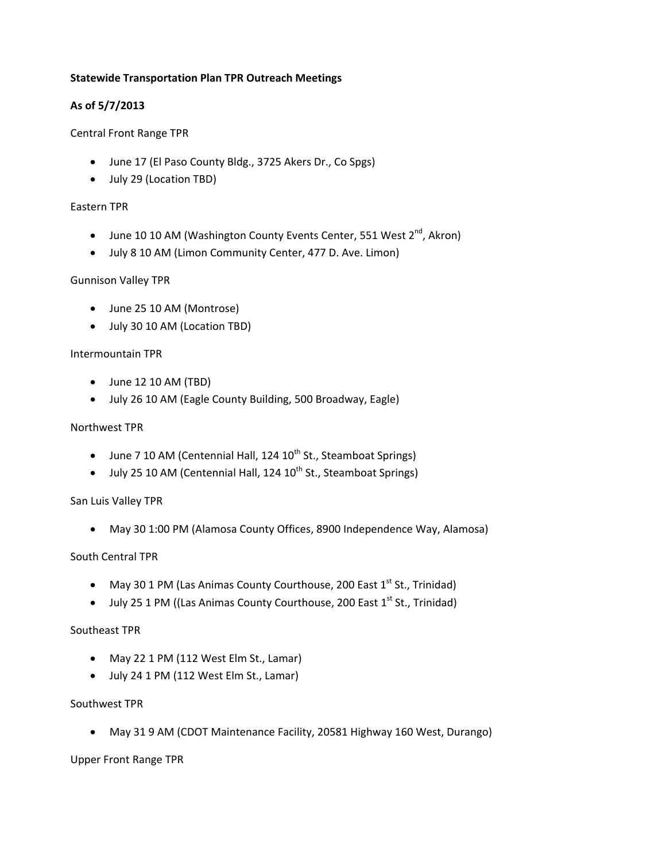## **Statewide Transportation Plan TPR Outreach Meetings**

# **As of 5/7/2013**

## Central Front Range TPR

- June 17 (El Paso County Bldg., 3725 Akers Dr., Co Spgs)
- July 29 (Location TBD)

### Eastern TPR

- June 10 10 AM (Washington County Events Center, 551 West  $2^{nd}$ , Akron)
- July 8 10 AM (Limon Community Center, 477 D. Ave. Limon)

### Gunnison Valley TPR

- June 25 10 AM (Montrose)
- July 30 10 AM (Location TBD)

### Intermountain TPR

- $\bullet$  June 12 10 AM (TBD)
- July 26 10 AM (Eagle County Building, 500 Broadway, Eagle)

### Northwest TPR

- $\bullet$  June 7 10 AM (Centennial Hall, 124 10<sup>th</sup> St., Steamboat Springs)
- $\bullet$  July 25 10 AM (Centennial Hall, 124 10<sup>th</sup> St., Steamboat Springs)

### San Luis Valley TPR

May 30 1:00 PM (Alamosa County Offices, 8900 Independence Way, Alamosa)

### South Central TPR

- May 30 1 PM (Las Animas County Courthouse, 200 East  $1<sup>st</sup>$  St., Trinidad)
- $\bullet$  July 25 1 PM ((Las Animas County Courthouse, 200 East 1<sup>st</sup> St., Trinidad)

### Southeast TPR

- May 22 1 PM (112 West Elm St., Lamar)
- July 24 1 PM (112 West Elm St., Lamar)

### Southwest TPR

May 31 9 AM (CDOT Maintenance Facility, 20581 Highway 160 West, Durango)

Upper Front Range TPR